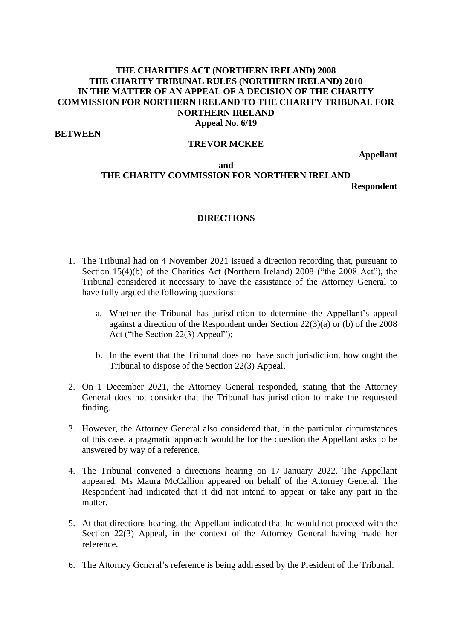## **THE CHARITIES ACT (NORTHERN IRELAND) 2008 THE CHARITY TRIBUNAL RULES (NORTHERN IRELAND) 2010 IN THE MATTER OF AN APPEAL OF A DECISION OF THE CHARITY COMMISSION FOR NORTHERN IRELAND TO THE CHARITY TRIBUNAL FOR NORTHERN IRELAND Appeal No. 6/19**

**BETWEEN**

## **TREVOR MCKEE**

**Appellant**

## **and THE CHARITY COMMISSION FOR NORTHERN IRELAND**

**Respondent**

## **DIRECTIONS**

- 1. The Tribunal had on 4 November 2021 issued a direction recording that, pursuant to Section 15(4)(b) of the Charities Act (Northern Ireland) 2008 ("the 2008 Act"), the Tribunal considered it necessary to have the assistance of the Attorney General to have fully argued the following questions:
	- a. Whether the Tribunal has jurisdiction to determine the Appellant's appeal against a direction of the Respondent under Section 22(3)(a) or (b) of the 2008 Act ("the Section 22(3) Appeal");
	- b. In the event that the Tribunal does not have such jurisdiction, how ought the Tribunal to dispose of the Section 22(3) Appeal.
- 2. On 1 December 2021, the Attorney General responded, stating that the Attorney General does not consider that the Tribunal has jurisdiction to make the requested finding.
- 3. However, the Attorney General also considered that, in the particular circumstances of this case, a pragmatic approach would be for the question the Appellant asks to be answered by way of a reference.
- 4. The Tribunal convened a directions hearing on 17 January 2022. The Appellant appeared. Ms Maura McCallion appeared on behalf of the Attorney General. The Respondent had indicated that it did not intend to appear or take any part in the matter.
- 5. At that directions hearing, the Appellant indicated that he would not proceed with the Section 22(3) Appeal, in the context of the Attorney General having made her reference.
- 6. The Attorney General's reference is being addressed by the President of the Tribunal.